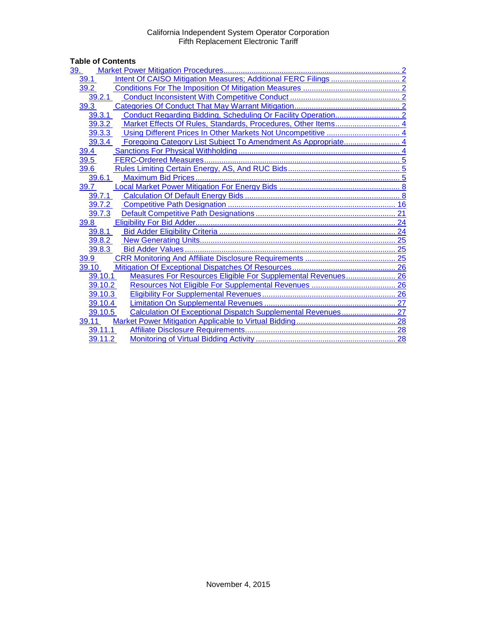# Table of Contents<br>
<u>39. Market Pow</u>

| <u>39.</u> |                                                               |  |
|------------|---------------------------------------------------------------|--|
| 39.1       |                                                               |  |
| 39.2       |                                                               |  |
| 39.2.1     |                                                               |  |
| 39.3       |                                                               |  |
| 39.3.1     |                                                               |  |
| 39.3.2     | Market Effects Of Rules, Standards, Procedures, Other Items 4 |  |
| 39.3.3     |                                                               |  |
| 39.3.4     |                                                               |  |
| 39.4       |                                                               |  |
| 39.5       |                                                               |  |
| 39.6       |                                                               |  |
| 39.6.1     |                                                               |  |
| 39.7       |                                                               |  |
| 39.7.1     |                                                               |  |
| 39.7.2     |                                                               |  |
| 39.7.3     |                                                               |  |
| 39.8       |                                                               |  |
| 39.8.1     |                                                               |  |
| 39.8.2     |                                                               |  |
| 39.8.3     |                                                               |  |
| 39.9       |                                                               |  |
| 39.10      |                                                               |  |
| 39.10.1    | Measures For Resources Eligible For Supplemental Revenues 26  |  |
| 39.10.2    |                                                               |  |
| 39.10.3    |                                                               |  |
| 39.10.4    |                                                               |  |
| 39.10.5    | Calculation Of Exceptional Dispatch Supplemental Revenues 27  |  |
| 39.11      |                                                               |  |
| 39.11.1    |                                                               |  |
| 39.11.2    |                                                               |  |
|            |                                                               |  |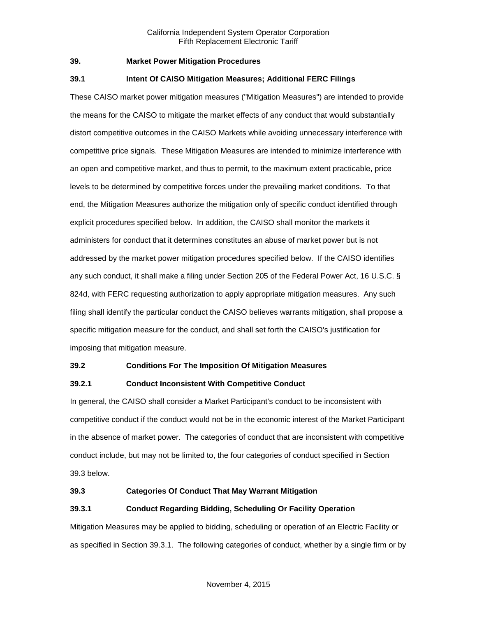#### <span id="page-1-0"></span>**39. Market Power Mitigation Procedures**

#### <span id="page-1-1"></span>**39.1 Intent Of CAISO Mitigation Measures; Additional FERC Filings**

These CAISO market power mitigation measures ("Mitigation Measures") are intended to provide the means for the CAISO to mitigate the market effects of any conduct that would substantially distort competitive outcomes in the CAISO Markets while avoiding unnecessary interference with competitive price signals. These Mitigation Measures are intended to minimize interference with an open and competitive market, and thus to permit, to the maximum extent practicable, price levels to be determined by competitive forces under the prevailing market conditions. To that end, the Mitigation Measures authorize the mitigation only of specific conduct identified through explicit procedures specified below. In addition, the CAISO shall monitor the markets it administers for conduct that it determines constitutes an abuse of market power but is not addressed by the market power mitigation procedures specified below. If the CAISO identifies any such conduct, it shall make a filing under Section 205 of the Federal Power Act, 16 U.S.C. § 824d, with FERC requesting authorization to apply appropriate mitigation measures. Any such filing shall identify the particular conduct the CAISO believes warrants mitigation, shall propose a specific mitigation measure for the conduct, and shall set forth the CAISO's justification for imposing that mitigation measure.

#### <span id="page-1-2"></span>**39.2 Conditions For The Imposition Of Mitigation Measures**

# <span id="page-1-3"></span>**39.2.1 Conduct Inconsistent With Competitive Conduct**

In general, the CAISO shall consider a Market Participant's conduct to be inconsistent with competitive conduct if the conduct would not be in the economic interest of the Market Participant in the absence of market power. The categories of conduct that are inconsistent with competitive conduct include, but may not be limited to, the four categories of conduct specified in Section 39.3 below.

#### <span id="page-1-4"></span>**39.3 Categories Of Conduct That May Warrant Mitigation**

# <span id="page-1-5"></span>**39.3.1 Conduct Regarding Bidding, Scheduling Or Facility Operation**

Mitigation Measures may be applied to bidding, scheduling or operation of an Electric Facility or as specified in Section 39.3.1. The following categories of conduct, whether by a single firm or by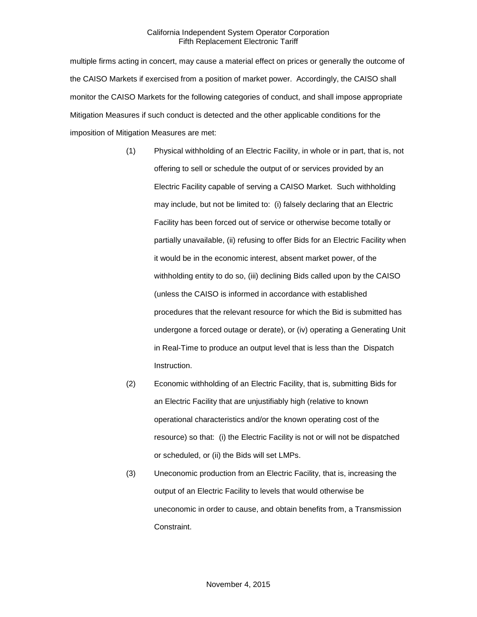multiple firms acting in concert, may cause a material effect on prices or generally the outcome of the CAISO Markets if exercised from a position of market power. Accordingly, the CAISO shall monitor the CAISO Markets for the following categories of conduct, and shall impose appropriate Mitigation Measures if such conduct is detected and the other applicable conditions for the imposition of Mitigation Measures are met:

- (1) Physical withholding of an Electric Facility, in whole or in part, that is, not offering to sell or schedule the output of or services provided by an Electric Facility capable of serving a CAISO Market. Such withholding may include, but not be limited to: (i) falsely declaring that an Electric Facility has been forced out of service or otherwise become totally or partially unavailable, (ii) refusing to offer Bids for an Electric Facility when it would be in the economic interest, absent market power, of the withholding entity to do so, (iii) declining Bids called upon by the CAISO (unless the CAISO is informed in accordance with established procedures that the relevant resource for which the Bid is submitted has undergone a forced outage or derate), or (iv) operating a Generating Unit in Real-Time to produce an output level that is less than the Dispatch Instruction.
- (2) Economic withholding of an Electric Facility, that is, submitting Bids for an Electric Facility that are unjustifiably high (relative to known operational characteristics and/or the known operating cost of the resource) so that: (i) the Electric Facility is not or will not be dispatched or scheduled, or (ii) the Bids will set LMPs.
- (3) Uneconomic production from an Electric Facility, that is, increasing the output of an Electric Facility to levels that would otherwise be uneconomic in order to cause, and obtain benefits from, a Transmission Constraint.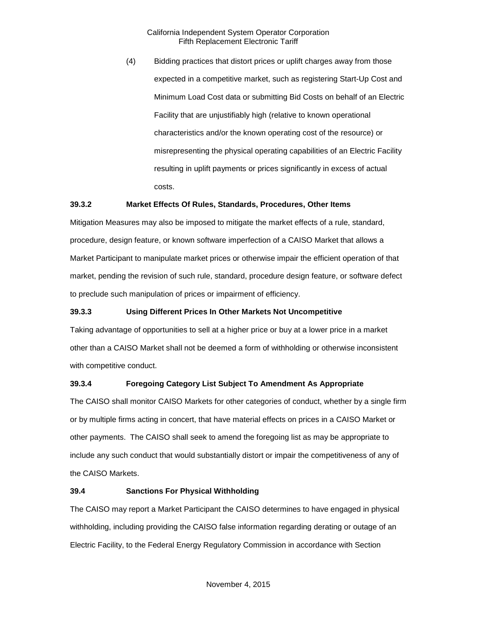(4) Bidding practices that distort prices or uplift charges away from those expected in a competitive market, such as registering Start-Up Cost and Minimum Load Cost data or submitting Bid Costs on behalf of an Electric Facility that are unjustifiably high (relative to known operational characteristics and/or the known operating cost of the resource) or misrepresenting the physical operating capabilities of an Electric Facility resulting in uplift payments or prices significantly in excess of actual costs.

#### <span id="page-3-0"></span>**39.3.2 Market Effects Of Rules, Standards, Procedures, Other Items**

Mitigation Measures may also be imposed to mitigate the market effects of a rule, standard, procedure, design feature, or known software imperfection of a CAISO Market that allows a Market Participant to manipulate market prices or otherwise impair the efficient operation of that market, pending the revision of such rule, standard, procedure design feature, or software defect to preclude such manipulation of prices or impairment of efficiency.

# <span id="page-3-1"></span>**39.3.3 Using Different Prices In Other Markets Not Uncompetitive**

Taking advantage of opportunities to sell at a higher price or buy at a lower price in a market other than a CAISO Market shall not be deemed a form of withholding or otherwise inconsistent with competitive conduct.

# <span id="page-3-2"></span>**39.3.4 Foregoing Category List Subject To Amendment As Appropriate**

The CAISO shall monitor CAISO Markets for other categories of conduct, whether by a single firm or by multiple firms acting in concert, that have material effects on prices in a CAISO Market or other payments. The CAISO shall seek to amend the foregoing list as may be appropriate to include any such conduct that would substantially distort or impair the competitiveness of any of the CAISO Markets.

#### <span id="page-3-3"></span>**39.4 Sanctions For Physical Withholding**

The CAISO may report a Market Participant the CAISO determines to have engaged in physical withholding, including providing the CAISO false information regarding derating or outage of an Electric Facility, to the Federal Energy Regulatory Commission in accordance with Section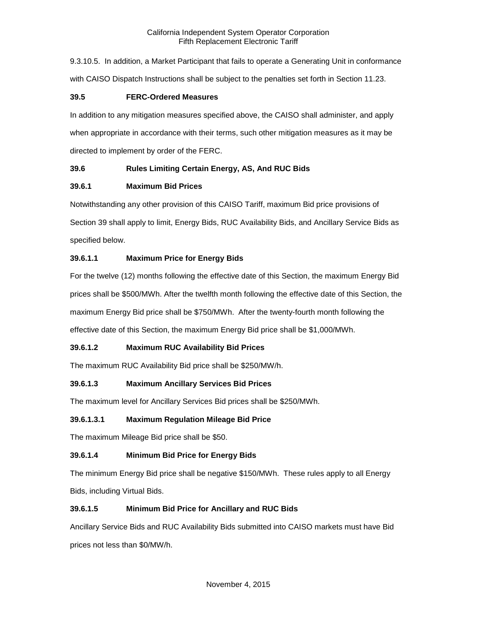9.3.10.5. In addition, a Market Participant that fails to operate a Generating Unit in conformance with CAISO Dispatch Instructions shall be subject to the penalties set forth in Section 11.23.

# <span id="page-4-0"></span>**39.5 FERC-Ordered Measures**

In addition to any mitigation measures specified above, the CAISO shall administer, and apply when appropriate in accordance with their terms, such other mitigation measures as it may be directed to implement by order of the FERC.

# <span id="page-4-1"></span>**39.6 Rules Limiting Certain Energy, AS, And RUC Bids**

# <span id="page-4-2"></span>**39.6.1 Maximum Bid Prices**

Notwithstanding any other provision of this CAISO Tariff, maximum Bid price provisions of Section 39 shall apply to limit, Energy Bids, RUC Availability Bids, and Ancillary Service Bids as specified below.

# **39.6.1.1 Maximum Price for Energy Bids**

For the twelve (12) months following the effective date of this Section, the maximum Energy Bid prices shall be \$500/MWh. After the twelfth month following the effective date of this Section, the maximum Energy Bid price shall be \$750/MWh. After the twenty-fourth month following the effective date of this Section, the maximum Energy Bid price shall be \$1,000/MWh.

# **39.6.1.2 Maximum RUC Availability Bid Prices**

The maximum RUC Availability Bid price shall be \$250/MW/h.

# **39.6.1.3 Maximum Ancillary Services Bid Prices**

The maximum level for Ancillary Services Bid prices shall be \$250/MWh.

#### **39.6.1.3.1 Maximum Regulation Mileage Bid Price**

The maximum Mileage Bid price shall be \$50.

# **39.6.1.4 Minimum Bid Price for Energy Bids**

The minimum Energy Bid price shall be negative \$150/MWh. These rules apply to all Energy Bids, including Virtual Bids.

# **39.6.1.5 Minimum Bid Price for Ancillary and RUC Bids**

Ancillary Service Bids and RUC Availability Bids submitted into CAISO markets must have Bid prices not less than \$0/MW/h.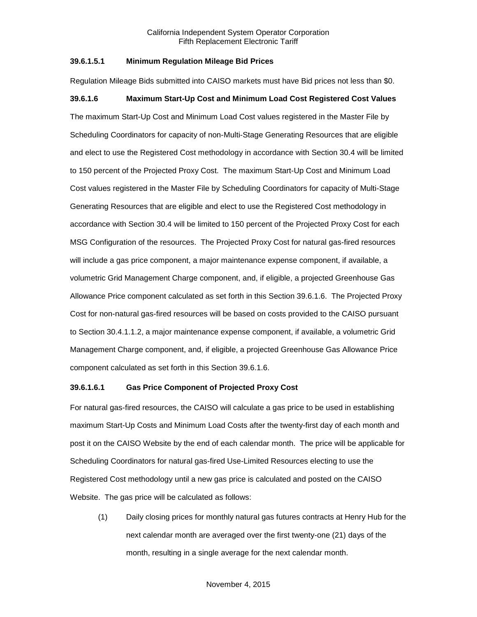#### **39.6.1.5.1 Minimum Regulation Mileage Bid Prices**

Regulation Mileage Bids submitted into CAISO markets must have Bid prices not less than \$0.

# **39.6.1.6 Maximum Start-Up Cost and Minimum Load Cost Registered Cost Values**

The maximum Start-Up Cost and Minimum Load Cost values registered in the Master File by Scheduling Coordinators for capacity of non-Multi-Stage Generating Resources that are eligible and elect to use the Registered Cost methodology in accordance with Section 30.4 will be limited to 150 percent of the Projected Proxy Cost. The maximum Start-Up Cost and Minimum Load Cost values registered in the Master File by Scheduling Coordinators for capacity of Multi-Stage Generating Resources that are eligible and elect to use the Registered Cost methodology in accordance with Section 30.4 will be limited to 150 percent of the Projected Proxy Cost for each MSG Configuration of the resources. The Projected Proxy Cost for natural gas-fired resources will include a gas price component, a major maintenance expense component, if available, a volumetric Grid Management Charge component, and, if eligible, a projected Greenhouse Gas Allowance Price component calculated as set forth in this Section 39.6.1.6. The Projected Proxy Cost for non-natural gas-fired resources will be based on costs provided to the CAISO pursuant to Section 30.4.1.1.2, a major maintenance expense component, if available, a volumetric Grid Management Charge component, and, if eligible, a projected Greenhouse Gas Allowance Price component calculated as set forth in this Section 39.6.1.6.

#### **39.6.1.6.1 Gas Price Component of Projected Proxy Cost**

For natural gas-fired resources, the CAISO will calculate a gas price to be used in establishing maximum Start-Up Costs and Minimum Load Costs after the twenty-first day of each month and post it on the CAISO Website by the end of each calendar month. The price will be applicable for Scheduling Coordinators for natural gas-fired Use-Limited Resources electing to use the Registered Cost methodology until a new gas price is calculated and posted on the CAISO Website. The gas price will be calculated as follows:

(1) Daily closing prices for monthly natural gas futures contracts at Henry Hub for the next calendar month are averaged over the first twenty-one (21) days of the month, resulting in a single average for the next calendar month.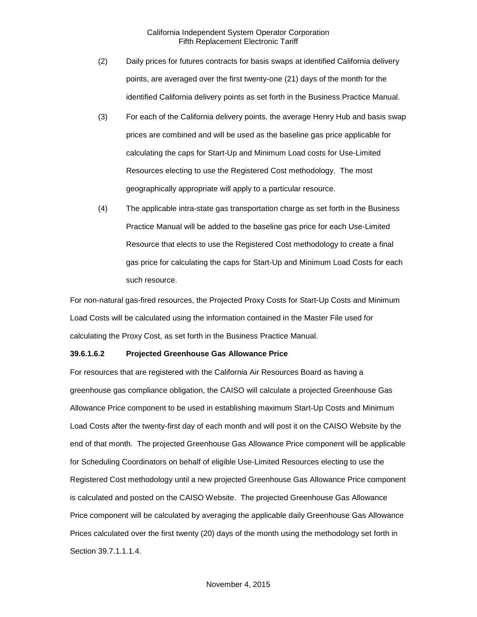- (2) Daily prices for futures contracts for basis swaps at identified California delivery points, are averaged over the first twenty-one (21) days of the month for the identified California delivery points as set forth in the Business Practice Manual.
- (3) For each of the California delivery points, the average Henry Hub and basis swap prices are combined and will be used as the baseline gas price applicable for calculating the caps for Start-Up and Minimum Load costs for Use-Limited Resources electing to use the Registered Cost methodology. The most geographically appropriate will apply to a particular resource.
- (4) The applicable intra-state gas transportation charge as set forth in the Business Practice Manual will be added to the baseline gas price for each Use-Limited Resource that elects to use the Registered Cost methodology to create a final gas price for calculating the caps for Start-Up and Minimum Load Costs for each such resource.

For non-natural gas-fired resources, the Projected Proxy Costs for Start-Up Costs and Minimum Load Costs will be calculated using the information contained in the Master File used for calculating the Proxy Cost, as set forth in the Business Practice Manual.

#### **39.6.1.6.2 Projected Greenhouse Gas Allowance Price**

For resources that are registered with the California Air Resources Board as having a greenhouse gas compliance obligation, the CAISO will calculate a projected Greenhouse Gas Allowance Price component to be used in establishing maximum Start-Up Costs and Minimum Load Costs after the twenty-first day of each month and will post it on the CAISO Website by the end of that month. The projected Greenhouse Gas Allowance Price component will be applicable for Scheduling Coordinators on behalf of eligible Use-Limited Resources electing to use the Registered Cost methodology until a new projected Greenhouse Gas Allowance Price component is calculated and posted on the CAISO Website. The projected Greenhouse Gas Allowance Price component will be calculated by averaging the applicable daily Greenhouse Gas Allowance Prices calculated over the first twenty (20) days of the month using the methodology set forth in Section 39.7.1.1.1.4.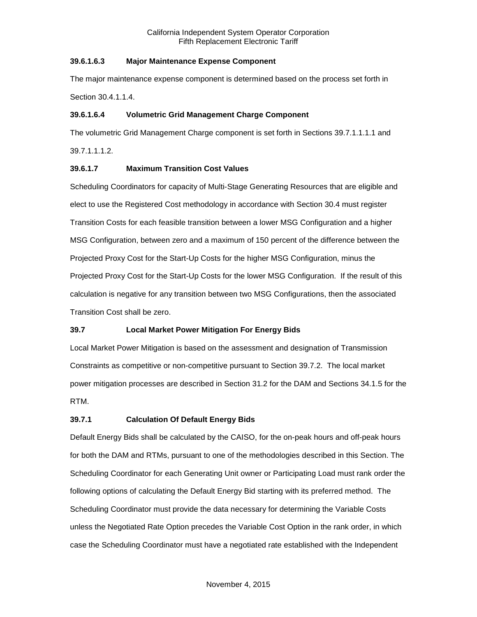# **39.6.1.6.3 Major Maintenance Expense Component**

The major maintenance expense component is determined based on the process set forth in Section 30.4.1.1.4.

# **39.6.1.6.4 Volumetric Grid Management Charge Component**

The volumetric Grid Management Charge component is set forth in Sections 39.7.1.1.1.1 and 39.7.1.1.1.2.

# **39.6.1.7 Maximum Transition Cost Values**

Scheduling Coordinators for capacity of Multi-Stage Generating Resources that are eligible and elect to use the Registered Cost methodology in accordance with Section 30.4 must register Transition Costs for each feasible transition between a lower MSG Configuration and a higher MSG Configuration, between zero and a maximum of 150 percent of the difference between the Projected Proxy Cost for the Start-Up Costs for the higher MSG Configuration, minus the Projected Proxy Cost for the Start-Up Costs for the lower MSG Configuration. If the result of this calculation is negative for any transition between two MSG Configurations, then the associated Transition Cost shall be zero.

# <span id="page-7-0"></span>**39.7 Local Market Power Mitigation For Energy Bids**

Local Market Power Mitigation is based on the assessment and designation of Transmission Constraints as competitive or non-competitive pursuant to Section 39.7.2. The local market power mitigation processes are described in Section 31.2 for the DAM and Sections 34.1.5 for the RTM.

# <span id="page-7-1"></span>**39.7.1 Calculation Of Default Energy Bids**

Default Energy Bids shall be calculated by the CAISO, for the on-peak hours and off-peak hours for both the DAM and RTMs, pursuant to one of the methodologies described in this Section. The Scheduling Coordinator for each Generating Unit owner or Participating Load must rank order the following options of calculating the Default Energy Bid starting with its preferred method. The Scheduling Coordinator must provide the data necessary for determining the Variable Costs unless the Negotiated Rate Option precedes the Variable Cost Option in the rank order, in which case the Scheduling Coordinator must have a negotiated rate established with the Independent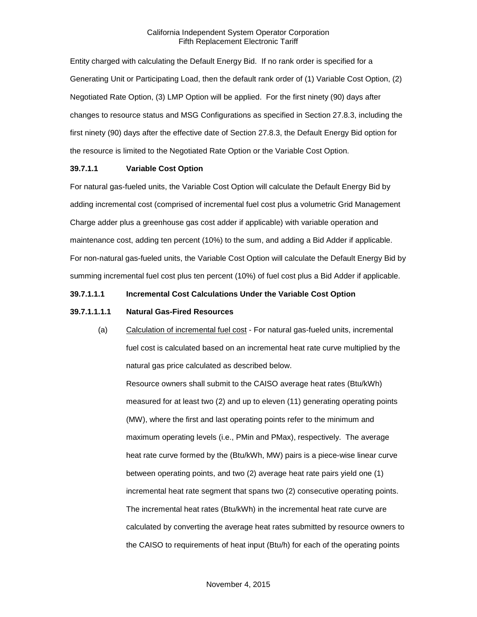Entity charged with calculating the Default Energy Bid. If no rank order is specified for a Generating Unit or Participating Load, then the default rank order of (1) Variable Cost Option, (2) Negotiated Rate Option, (3) LMP Option will be applied. For the first ninety (90) days after changes to resource status and MSG Configurations as specified in Section 27.8.3, including the first ninety (90) days after the effective date of Section 27.8.3, the Default Energy Bid option for the resource is limited to the Negotiated Rate Option or the Variable Cost Option.

#### **39.7.1.1 Variable Cost Option**

For natural gas-fueled units, the Variable Cost Option will calculate the Default Energy Bid by adding incremental cost (comprised of incremental fuel cost plus a volumetric Grid Management Charge adder plus a greenhouse gas cost adder if applicable) with variable operation and maintenance cost, adding ten percent (10%) to the sum, and adding a Bid Adder if applicable. For non-natural gas-fueled units, the Variable Cost Option will calculate the Default Energy Bid by summing incremental fuel cost plus ten percent (10%) of fuel cost plus a Bid Adder if applicable.

# **39.7.1.1.1 Incremental Cost Calculations Under the Variable Cost Option**

#### **39.7.1.1.1.1 Natural Gas-Fired Resources**

(a) Calculation of incremental fuel cost - For natural gas-fueled units, incremental fuel cost is calculated based on an incremental heat rate curve multiplied by the natural gas price calculated as described below.

Resource owners shall submit to the CAISO average heat rates (Btu/kWh) measured for at least two (2) and up to eleven (11) generating operating points (MW), where the first and last operating points refer to the minimum and maximum operating levels (i.e., PMin and PMax), respectively. The average heat rate curve formed by the (Btu/kWh, MW) pairs is a piece-wise linear curve between operating points, and two (2) average heat rate pairs yield one (1) incremental heat rate segment that spans two (2) consecutive operating points. The incremental heat rates (Btu/kWh) in the incremental heat rate curve are calculated by converting the average heat rates submitted by resource owners to the CAISO to requirements of heat input (Btu/h) for each of the operating points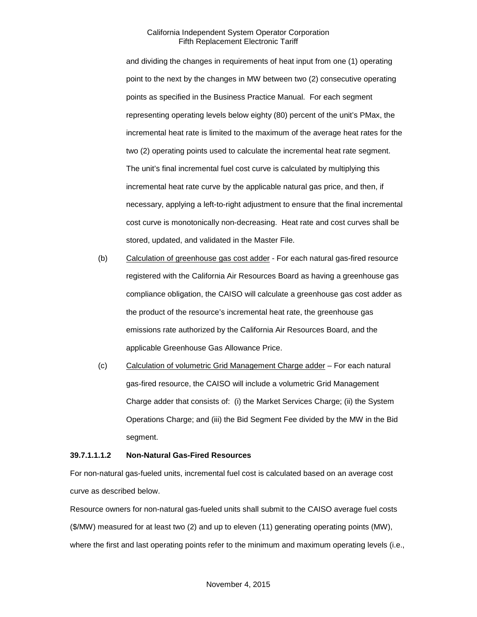and dividing the changes in requirements of heat input from one (1) operating point to the next by the changes in MW between two (2) consecutive operating points as specified in the Business Practice Manual. For each segment representing operating levels below eighty (80) percent of the unit's PMax, the incremental heat rate is limited to the maximum of the average heat rates for the two (2) operating points used to calculate the incremental heat rate segment. The unit's final incremental fuel cost curve is calculated by multiplying this incremental heat rate curve by the applicable natural gas price, and then, if necessary, applying a left-to-right adjustment to ensure that the final incremental cost curve is monotonically non-decreasing. Heat rate and cost curves shall be stored, updated, and validated in the Master File.

- (b) Calculation of greenhouse gas cost adder For each natural gas-fired resource registered with the California Air Resources Board as having a greenhouse gas compliance obligation, the CAISO will calculate a greenhouse gas cost adder as the product of the resource's incremental heat rate, the greenhouse gas emissions rate authorized by the California Air Resources Board, and the applicable Greenhouse Gas Allowance Price.
- (c) Calculation of volumetric Grid Management Charge adder For each natural gas-fired resource, the CAISO will include a volumetric Grid Management Charge adder that consists of: (i) the Market Services Charge; (ii) the System Operations Charge; and (iii) the Bid Segment Fee divided by the MW in the Bid segment.

#### **39.7.1.1.1.2 Non-Natural Gas-Fired Resources**

For non-natural gas-fueled units, incremental fuel cost is calculated based on an average cost curve as described below.

Resource owners for non-natural gas-fueled units shall submit to the CAISO average fuel costs (\$/MW) measured for at least two (2) and up to eleven (11) generating operating points (MW), where the first and last operating points refer to the minimum and maximum operating levels (i.e.,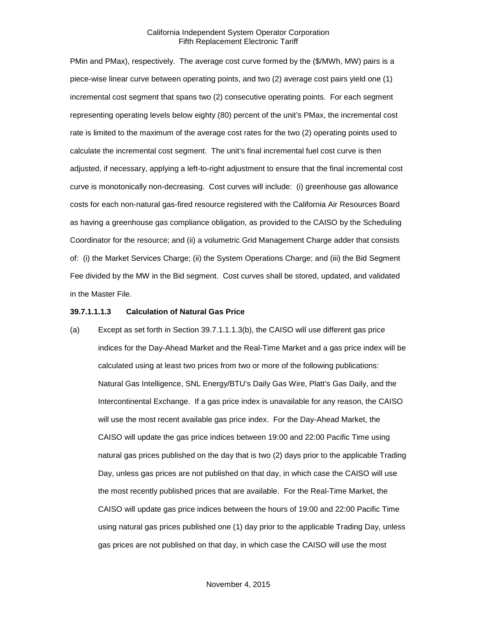PMin and PMax), respectively. The average cost curve formed by the (\$/MWh, MW) pairs is a piece-wise linear curve between operating points, and two (2) average cost pairs yield one (1) incremental cost segment that spans two (2) consecutive operating points. For each segment representing operating levels below eighty (80) percent of the unit's PMax, the incremental cost rate is limited to the maximum of the average cost rates for the two (2) operating points used to calculate the incremental cost segment. The unit's final incremental fuel cost curve is then adjusted, if necessary, applying a left-to-right adjustment to ensure that the final incremental cost curve is monotonically non-decreasing. Cost curves will include: (i) greenhouse gas allowance costs for each non-natural gas-fired resource registered with the California Air Resources Board as having a greenhouse gas compliance obligation, as provided to the CAISO by the Scheduling Coordinator for the resource; and (ii) a volumetric Grid Management Charge adder that consists of: (i) the Market Services Charge; (ii) the System Operations Charge; and (iii) the Bid Segment Fee divided by the MW in the Bid segment. Cost curves shall be stored, updated, and validated in the Master File.

#### **39.7.1.1.1.3 Calculation of Natural Gas Price**

(a) Except as set forth in Section 39.7.1.1.1.3(b), the CAISO will use different gas price indices for the Day-Ahead Market and the Real-Time Market and a gas price index will be calculated using at least two prices from two or more of the following publications: Natural Gas Intelligence, SNL Energy/BTU's Daily Gas Wire, Platt's Gas Daily, and the Intercontinental Exchange. If a gas price index is unavailable for any reason, the CAISO will use the most recent available gas price index. For the Day-Ahead Market, the CAISO will update the gas price indices between 19:00 and 22:00 Pacific Time using natural gas prices published on the day that is two (2) days prior to the applicable Trading Day, unless gas prices are not published on that day, in which case the CAISO will use the most recently published prices that are available. For the Real-Time Market, the CAISO will update gas price indices between the hours of 19:00 and 22:00 Pacific Time using natural gas prices published one (1) day prior to the applicable Trading Day, unless gas prices are not published on that day, in which case the CAISO will use the most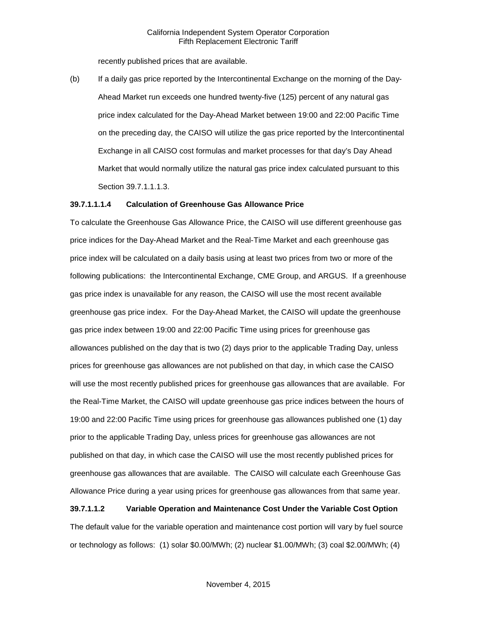recently published prices that are available.

(b) If a daily gas price reported by the Intercontinental Exchange on the morning of the Day-Ahead Market run exceeds one hundred twenty-five (125) percent of any natural gas price index calculated for the Day-Ahead Market between 19:00 and 22:00 Pacific Time on the preceding day, the CAISO will utilize the gas price reported by the Intercontinental Exchange in all CAISO cost formulas and market processes for that day's Day Ahead Market that would normally utilize the natural gas price index calculated pursuant to this Section 39.7.1.1.1.3.

#### **39.7.1.1.1.4 Calculation of Greenhouse Gas Allowance Price**

To calculate the Greenhouse Gas Allowance Price, the CAISO will use different greenhouse gas price indices for the Day-Ahead Market and the Real-Time Market and each greenhouse gas price index will be calculated on a daily basis using at least two prices from two or more of the following publications: the Intercontinental Exchange, CME Group, and ARGUS. If a greenhouse gas price index is unavailable for any reason, the CAISO will use the most recent available greenhouse gas price index. For the Day-Ahead Market, the CAISO will update the greenhouse gas price index between 19:00 and 22:00 Pacific Time using prices for greenhouse gas allowances published on the day that is two (2) days prior to the applicable Trading Day, unless prices for greenhouse gas allowances are not published on that day, in which case the CAISO will use the most recently published prices for greenhouse gas allowances that are available. For the Real-Time Market, the CAISO will update greenhouse gas price indices between the hours of 19:00 and 22:00 Pacific Time using prices for greenhouse gas allowances published one (1) day prior to the applicable Trading Day, unless prices for greenhouse gas allowances are not published on that day, in which case the CAISO will use the most recently published prices for greenhouse gas allowances that are available. The CAISO will calculate each Greenhouse Gas Allowance Price during a year using prices for greenhouse gas allowances from that same year.

#### **39.7.1.1.2 Variable Operation and Maintenance Cost Under the Variable Cost Option**

The default value for the variable operation and maintenance cost portion will vary by fuel source or technology as follows: (1) solar \$0.00/MWh; (2) nuclear \$1.00/MWh; (3) coal \$2.00/MWh; (4)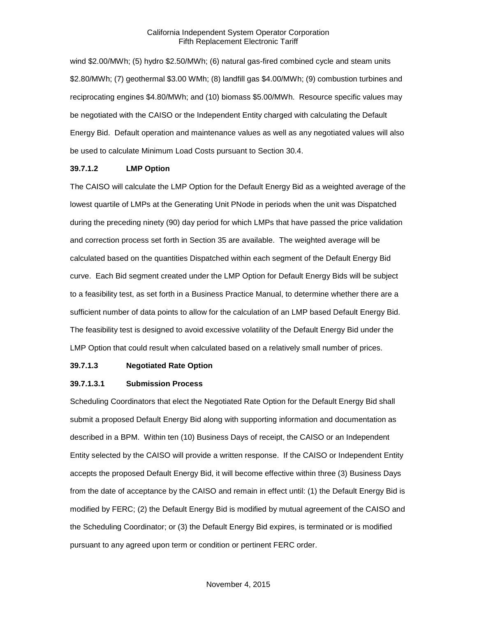wind \$2.00/MWh; (5) hydro \$2.50/MWh; (6) natural gas-fired combined cycle and steam units \$2.80/MWh; (7) geothermal \$3.00 WMh; (8) landfill gas \$4.00/MWh; (9) combustion turbines and reciprocating engines \$4.80/MWh; and (10) biomass \$5.00/MWh. Resource specific values may be negotiated with the CAISO or the Independent Entity charged with calculating the Default Energy Bid. Default operation and maintenance values as well as any negotiated values will also be used to calculate Minimum Load Costs pursuant to Section 30.4.

#### **39.7.1.2 LMP Option**

The CAISO will calculate the LMP Option for the Default Energy Bid as a weighted average of the lowest quartile of LMPs at the Generating Unit PNode in periods when the unit was Dispatched during the preceding ninety (90) day period for which LMPs that have passed the price validation and correction process set forth in Section 35 are available. The weighted average will be calculated based on the quantities Dispatched within each segment of the Default Energy Bid curve. Each Bid segment created under the LMP Option for Default Energy Bids will be subject to a feasibility test, as set forth in a Business Practice Manual, to determine whether there are a sufficient number of data points to allow for the calculation of an LMP based Default Energy Bid. The feasibility test is designed to avoid excessive volatility of the Default Energy Bid under the LMP Option that could result when calculated based on a relatively small number of prices.

#### **39.7.1.3 Negotiated Rate Option**

#### **39.7.1.3.1 Submission Process**

Scheduling Coordinators that elect the Negotiated Rate Option for the Default Energy Bid shall submit a proposed Default Energy Bid along with supporting information and documentation as described in a BPM. Within ten (10) Business Days of receipt, the CAISO or an Independent Entity selected by the CAISO will provide a written response. If the CAISO or Independent Entity accepts the proposed Default Energy Bid, it will become effective within three (3) Business Days from the date of acceptance by the CAISO and remain in effect until: (1) the Default Energy Bid is modified by FERC; (2) the Default Energy Bid is modified by mutual agreement of the CAISO and the Scheduling Coordinator; or (3) the Default Energy Bid expires, is terminated or is modified pursuant to any agreed upon term or condition or pertinent FERC order.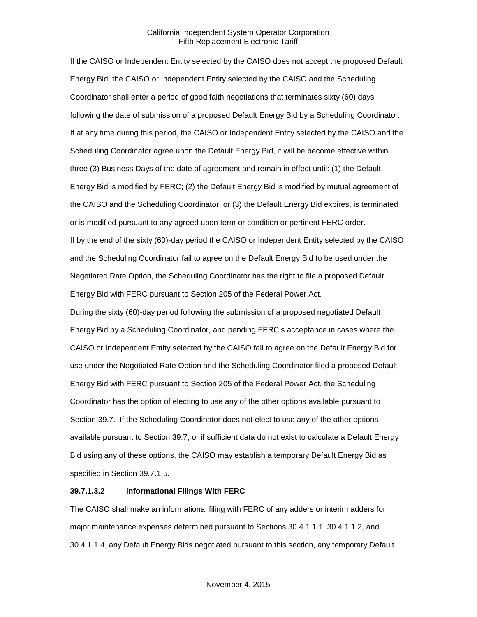If the CAISO or Independent Entity selected by the CAISO does not accept the proposed Default Energy Bid, the CAISO or Independent Entity selected by the CAISO and the Scheduling Coordinator shall enter a period of good faith negotiations that terminates sixty (60) days following the date of submission of a proposed Default Energy Bid by a Scheduling Coordinator. If at any time during this period, the CAISO or Independent Entity selected by the CAISO and the Scheduling Coordinator agree upon the Default Energy Bid, it will be become effective within three (3) Business Days of the date of agreement and remain in effect until: (1) the Default Energy Bid is modified by FERC; (2) the Default Energy Bid is modified by mutual agreement of the CAISO and the Scheduling Coordinator; or (3) the Default Energy Bid expires, is terminated or is modified pursuant to any agreed upon term or condition or pertinent FERC order. If by the end of the sixty (60)-day period the CAISO or Independent Entity selected by the CAISO and the Scheduling Coordinator fail to agree on the Default Energy Bid to be used under the Negotiated Rate Option, the Scheduling Coordinator has the right to file a proposed Default Energy Bid with FERC pursuant to Section 205 of the Federal Power Act.

During the sixty (60)-day period following the submission of a proposed negotiated Default Energy Bid by a Scheduling Coordinator, and pending FERC's acceptance in cases where the CAISO or Independent Entity selected by the CAISO fail to agree on the Default Energy Bid for use under the Negotiated Rate Option and the Scheduling Coordinator filed a proposed Default Energy Bid with FERC pursuant to Section 205 of the Federal Power Act, the Scheduling Coordinator has the option of electing to use any of the other options available pursuant to Section 39.7. If the Scheduling Coordinator does not elect to use any of the other options available pursuant to Section 39.7, or if sufficient data do not exist to calculate a Default Energy Bid using any of these options, the CAISO may establish a temporary Default Energy Bid as specified in Section 39.7.1.5.

# **39.7.1.3.2 Informational Filings With FERC**

The CAISO shall make an informational filing with FERC of any adders or interim adders for major maintenance expenses determined pursuant to Sections 30.4.1.1.1, 30.4.1.1.2, and 30.4.1.1.4, any Default Energy Bids negotiated pursuant to this section, any temporary Default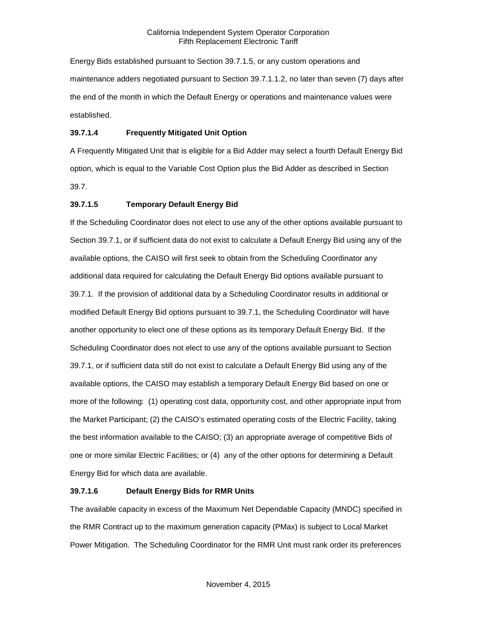Energy Bids established pursuant to Section 39.7.1.5, or any custom operations and maintenance adders negotiated pursuant to Section 39.7.1.1.2, no later than seven (7) days after the end of the month in which the Default Energy or operations and maintenance values were established.

# **39.7.1.4 Frequently Mitigated Unit Option**

A Frequently Mitigated Unit that is eligible for a Bid Adder may select a fourth Default Energy Bid option, which is equal to the Variable Cost Option plus the Bid Adder as described in Section 39.7.

# **39.7.1.5 Temporary Default Energy Bid**

If the Scheduling Coordinator does not elect to use any of the other options available pursuant to Section 39.7.1, or if sufficient data do not exist to calculate a Default Energy Bid using any of the available options, the CAISO will first seek to obtain from the Scheduling Coordinator any additional data required for calculating the Default Energy Bid options available pursuant to 39.7.1. If the provision of additional data by a Scheduling Coordinator results in additional or modified Default Energy Bid options pursuant to 39.7.1, the Scheduling Coordinator will have another opportunity to elect one of these options as its temporary Default Energy Bid. If the Scheduling Coordinator does not elect to use any of the options available pursuant to Section 39.7.1, or if sufficient data still do not exist to calculate a Default Energy Bid using any of the available options, the CAISO may establish a temporary Default Energy Bid based on one or more of the following: (1) operating cost data, opportunity cost, and other appropriate input from the Market Participant; (2) the CAISO's estimated operating costs of the Electric Facility, taking the best information available to the CAISO; (3) an appropriate average of competitive Bids of one or more similar Electric Facilities; or (4) any of the other options for determining a Default Energy Bid for which data are available.

# **39.7.1.6 Default Energy Bids for RMR Units**

The available capacity in excess of the Maximum Net Dependable Capacity (MNDC) specified in the RMR Contract up to the maximum generation capacity (PMax) is subject to Local Market Power Mitigation. The Scheduling Coordinator for the RMR Unit must rank order its preferences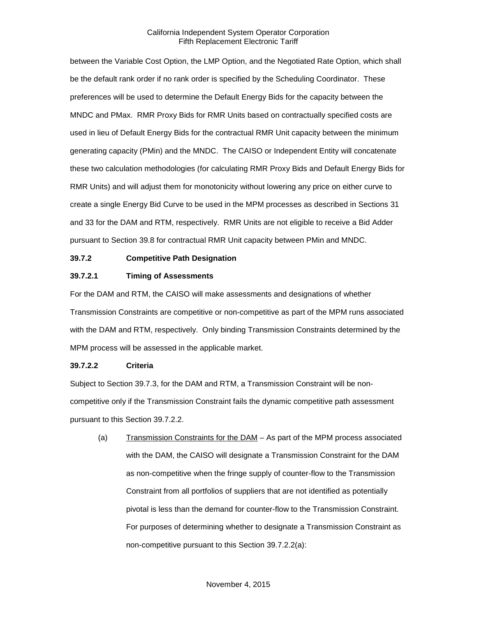between the Variable Cost Option, the LMP Option, and the Negotiated Rate Option, which shall be the default rank order if no rank order is specified by the Scheduling Coordinator. These preferences will be used to determine the Default Energy Bids for the capacity between the MNDC and PMax. RMR Proxy Bids for RMR Units based on contractually specified costs are used in lieu of Default Energy Bids for the contractual RMR Unit capacity between the minimum generating capacity (PMin) and the MNDC. The CAISO or Independent Entity will concatenate these two calculation methodologies (for calculating RMR Proxy Bids and Default Energy Bids for RMR Units) and will adjust them for monotonicity without lowering any price on either curve to create a single Energy Bid Curve to be used in the MPM processes as described in Sections 31 and 33 for the DAM and RTM, respectively. RMR Units are not eligible to receive a Bid Adder pursuant to Section 39.8 for contractual RMR Unit capacity between PMin and MNDC.

#### <span id="page-15-0"></span>**39.7.2 Competitive Path Designation**

#### **39.7.2.1 Timing of Assessments**

For the DAM and RTM, the CAISO will make assessments and designations of whether Transmission Constraints are competitive or non-competitive as part of the MPM runs associated with the DAM and RTM, respectively. Only binding Transmission Constraints determined by the MPM process will be assessed in the applicable market.

#### **39.7.2.2 Criteria**

Subject to Section 39.7.3, for the DAM and RTM, a Transmission Constraint will be noncompetitive only if the Transmission Constraint fails the dynamic competitive path assessment pursuant to this Section 39.7.2.2.

(a) Transmission Constraints for the DAM – As part of the MPM process associated with the DAM, the CAISO will designate a Transmission Constraint for the DAM as non-competitive when the fringe supply of counter-flow to the Transmission Constraint from all portfolios of suppliers that are not identified as potentially pivotal is less than the demand for counter-flow to the Transmission Constraint. For purposes of determining whether to designate a Transmission Constraint as non-competitive pursuant to this Section 39.7.2.2(a):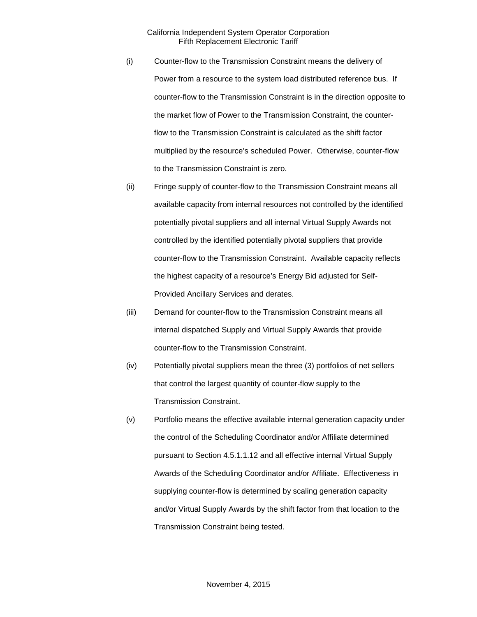- (i) Counter-flow to the Transmission Constraint means the delivery of Power from a resource to the system load distributed reference bus. If counter-flow to the Transmission Constraint is in the direction opposite to the market flow of Power to the Transmission Constraint, the counterflow to the Transmission Constraint is calculated as the shift factor multiplied by the resource's scheduled Power. Otherwise, counter-flow to the Transmission Constraint is zero.
- (ii) Fringe supply of counter-flow to the Transmission Constraint means all available capacity from internal resources not controlled by the identified potentially pivotal suppliers and all internal Virtual Supply Awards not controlled by the identified potentially pivotal suppliers that provide counter-flow to the Transmission Constraint. Available capacity reflects the highest capacity of a resource's Energy Bid adjusted for Self-Provided Ancillary Services and derates.
- (iii) Demand for counter-flow to the Transmission Constraint means all internal dispatched Supply and Virtual Supply Awards that provide counter-flow to the Transmission Constraint.
- (iv) Potentially pivotal suppliers mean the three (3) portfolios of net sellers that control the largest quantity of counter-flow supply to the Transmission Constraint.
- (v) Portfolio means the effective available internal generation capacity under the control of the Scheduling Coordinator and/or Affiliate determined pursuant to Section 4.5.1.1.12 and all effective internal Virtual Supply Awards of the Scheduling Coordinator and/or Affiliate. Effectiveness in supplying counter-flow is determined by scaling generation capacity and/or Virtual Supply Awards by the shift factor from that location to the Transmission Constraint being tested.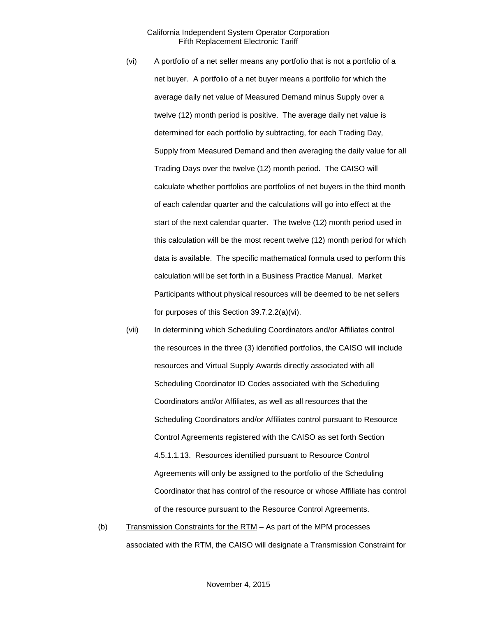- (vi) A portfolio of a net seller means any portfolio that is not a portfolio of a net buyer. A portfolio of a net buyer means a portfolio for which the average daily net value of Measured Demand minus Supply over a twelve (12) month period is positive. The average daily net value is determined for each portfolio by subtracting, for each Trading Day, Supply from Measured Demand and then averaging the daily value for all Trading Days over the twelve (12) month period. The CAISO will calculate whether portfolios are portfolios of net buyers in the third month of each calendar quarter and the calculations will go into effect at the start of the next calendar quarter. The twelve (12) month period used in this calculation will be the most recent twelve (12) month period for which data is available. The specific mathematical formula used to perform this calculation will be set forth in a Business Practice Manual. Market Participants without physical resources will be deemed to be net sellers for purposes of this Section 39.7.2.2(a)(vi).
- (vii) In determining which Scheduling Coordinators and/or Affiliates control the resources in the three (3) identified portfolios, the CAISO will include resources and Virtual Supply Awards directly associated with all Scheduling Coordinator ID Codes associated with the Scheduling Coordinators and/or Affiliates, as well as all resources that the Scheduling Coordinators and/or Affiliates control pursuant to Resource Control Agreements registered with the CAISO as set forth Section 4.5.1.1.13. Resources identified pursuant to Resource Control Agreements will only be assigned to the portfolio of the Scheduling Coordinator that has control of the resource or whose Affiliate has control of the resource pursuant to the Resource Control Agreements.
- (b) Transmission Constraints for the  $RTM As$  part of the MPM processes associated with the RTM, the CAISO will designate a Transmission Constraint for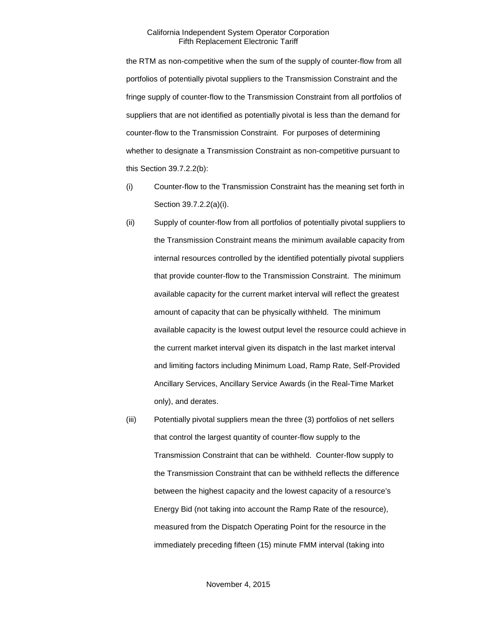the RTM as non-competitive when the sum of the supply of counter-flow from all portfolios of potentially pivotal suppliers to the Transmission Constraint and the fringe supply of counter-flow to the Transmission Constraint from all portfolios of suppliers that are not identified as potentially pivotal is less than the demand for counter-flow to the Transmission Constraint. For purposes of determining whether to designate a Transmission Constraint as non-competitive pursuant to this Section 39.7.2.2(b):

- (i) Counter-flow to the Transmission Constraint has the meaning set forth in Section 39.7.2.2(a)(i).
- (ii) Supply of counter-flow from all portfolios of potentially pivotal suppliers to the Transmission Constraint means the minimum available capacity from internal resources controlled by the identified potentially pivotal suppliers that provide counter-flow to the Transmission Constraint. The minimum available capacity for the current market interval will reflect the greatest amount of capacity that can be physically withheld. The minimum available capacity is the lowest output level the resource could achieve in the current market interval given its dispatch in the last market interval and limiting factors including Minimum Load, Ramp Rate, Self-Provided Ancillary Services, Ancillary Service Awards (in the Real-Time Market only), and derates.
- (iii) Potentially pivotal suppliers mean the three (3) portfolios of net sellers that control the largest quantity of counter-flow supply to the Transmission Constraint that can be withheld. Counter-flow supply to the Transmission Constraint that can be withheld reflects the difference between the highest capacity and the lowest capacity of a resource's Energy Bid (not taking into account the Ramp Rate of the resource), measured from the Dispatch Operating Point for the resource in the immediately preceding fifteen (15) minute FMM interval (taking into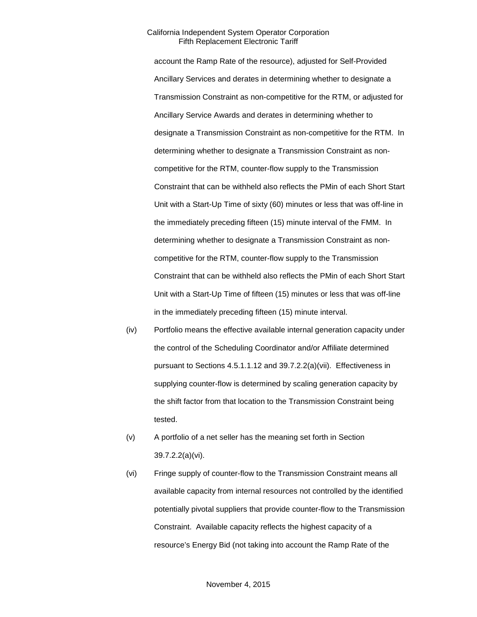account the Ramp Rate of the resource), adjusted for Self-Provided Ancillary Services and derates in determining whether to designate a Transmission Constraint as non-competitive for the RTM, or adjusted for Ancillary Service Awards and derates in determining whether to designate a Transmission Constraint as non-competitive for the RTM. In determining whether to designate a Transmission Constraint as noncompetitive for the RTM, counter-flow supply to the Transmission Constraint that can be withheld also reflects the PMin of each Short Start Unit with a Start-Up Time of sixty (60) minutes or less that was off-line in the immediately preceding fifteen (15) minute interval of the FMM. In determining whether to designate a Transmission Constraint as noncompetitive for the RTM, counter-flow supply to the Transmission Constraint that can be withheld also reflects the PMin of each Short Start Unit with a Start-Up Time of fifteen (15) minutes or less that was off-line in the immediately preceding fifteen (15) minute interval.

- (iv) Portfolio means the effective available internal generation capacity under the control of the Scheduling Coordinator and/or Affiliate determined pursuant to Sections 4.5.1.1.12 and 39.7.2.2(a)(vii). Effectiveness in supplying counter-flow is determined by scaling generation capacity by the shift factor from that location to the Transmission Constraint being tested.
- (v) A portfolio of a net seller has the meaning set forth in Section 39.7.2.2(a)(vi).
- (vi) Fringe supply of counter-flow to the Transmission Constraint means all available capacity from internal resources not controlled by the identified potentially pivotal suppliers that provide counter-flow to the Transmission Constraint. Available capacity reflects the highest capacity of a resource's Energy Bid (not taking into account the Ramp Rate of the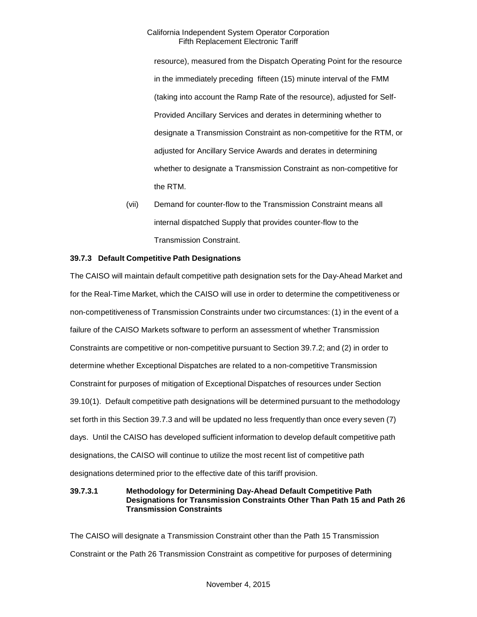resource), measured from the Dispatch Operating Point for the resource in the immediately preceding fifteen (15) minute interval of the FMM (taking into account the Ramp Rate of the resource), adjusted for Self-Provided Ancillary Services and derates in determining whether to designate a Transmission Constraint as non-competitive for the RTM, or adjusted for Ancillary Service Awards and derates in determining whether to designate a Transmission Constraint as non-competitive for the RTM.

(vii) Demand for counter-flow to the Transmission Constraint means all internal dispatched Supply that provides counter-flow to the Transmission Constraint.

# <span id="page-20-0"></span>**39.7.3 Default Competitive Path Designations**

The CAISO will maintain default competitive path designation sets for the Day-Ahead Market and for the Real-Time Market, which the CAISO will use in order to determine the competitiveness or non-competitiveness of Transmission Constraints under two circumstances: (1) in the event of a failure of the CAISO Markets software to perform an assessment of whether Transmission Constraints are competitive or non-competitive pursuant to Section 39.7.2; and (2) in order to determine whether Exceptional Dispatches are related to a non-competitive Transmission Constraint for purposes of mitigation of Exceptional Dispatches of resources under Section 39.10(1). Default competitive path designations will be determined pursuant to the methodology set forth in this Section 39.7.3 and will be updated no less frequently than once every seven (7) days. Until the CAISO has developed sufficient information to develop default competitive path designations, the CAISO will continue to utilize the most recent list of competitive path designations determined prior to the effective date of this tariff provision.

#### **39.7.3.1 Methodology for Determining Day-Ahead Default Competitive Path Designations for Transmission Constraints Other Than Path 15 and Path 26 Transmission Constraints**

The CAISO will designate a Transmission Constraint other than the Path 15 Transmission Constraint or the Path 26 Transmission Constraint as competitive for purposes of determining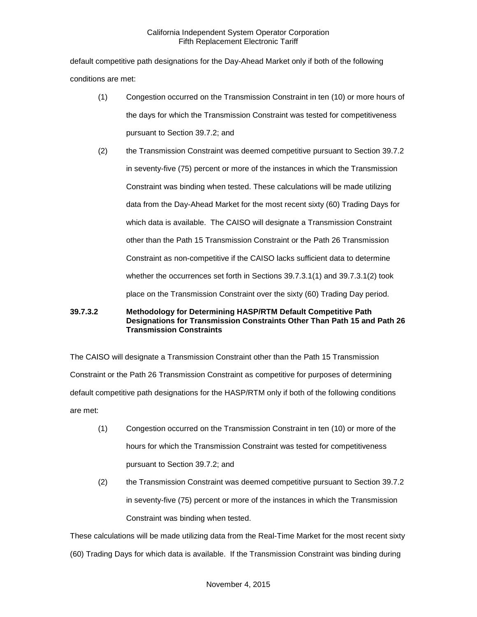default competitive path designations for the Day-Ahead Market only if both of the following conditions are met:

- (1) Congestion occurred on the Transmission Constraint in ten (10) or more hours of the days for which the Transmission Constraint was tested for competitiveness pursuant to Section 39.7.2; and
- (2) the Transmission Constraint was deemed competitive pursuant to Section 39.7.2 in seventy-five (75) percent or more of the instances in which the Transmission Constraint was binding when tested. These calculations will be made utilizing data from the Day-Ahead Market for the most recent sixty (60) Trading Days for which data is available. The CAISO will designate a Transmission Constraint other than the Path 15 Transmission Constraint or the Path 26 Transmission Constraint as non-competitive if the CAISO lacks sufficient data to determine whether the occurrences set forth in Sections 39.7.3.1(1) and 39.7.3.1(2) took place on the Transmission Constraint over the sixty (60) Trading Day period.

# **39.7.3.2 Methodology for Determining HASP/RTM Default Competitive Path Designations for Transmission Constraints Other Than Path 15 and Path 26 Transmission Constraints**

The CAISO will designate a Transmission Constraint other than the Path 15 Transmission Constraint or the Path 26 Transmission Constraint as competitive for purposes of determining default competitive path designations for the HASP/RTM only if both of the following conditions are met:

- (1) Congestion occurred on the Transmission Constraint in ten (10) or more of the hours for which the Transmission Constraint was tested for competitiveness pursuant to Section 39.7.2; and
- (2) the Transmission Constraint was deemed competitive pursuant to Section 39.7.2 in seventy-five (75) percent or more of the instances in which the Transmission Constraint was binding when tested.

These calculations will be made utilizing data from the Real-Time Market for the most recent sixty

(60) Trading Days for which data is available. If the Transmission Constraint was binding during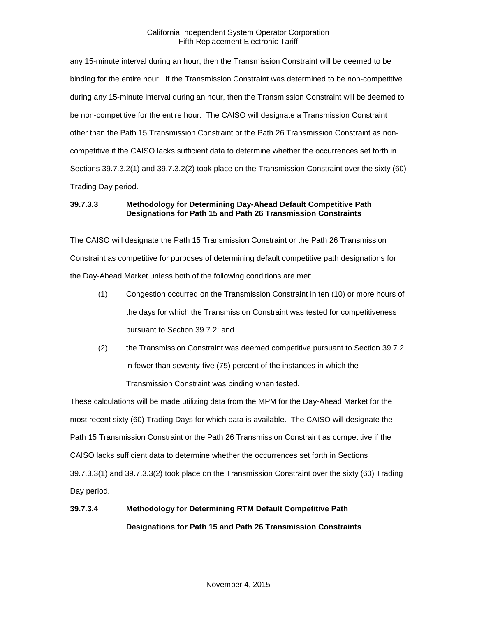any 15-minute interval during an hour, then the Transmission Constraint will be deemed to be binding for the entire hour. If the Transmission Constraint was determined to be non-competitive during any 15-minute interval during an hour, then the Transmission Constraint will be deemed to be non-competitive for the entire hour. The CAISO will designate a Transmission Constraint other than the Path 15 Transmission Constraint or the Path 26 Transmission Constraint as noncompetitive if the CAISO lacks sufficient data to determine whether the occurrences set forth in Sections 39.7.3.2(1) and 39.7.3.2(2) took place on the Transmission Constraint over the sixty (60) Trading Day period.

# **39.7.3.3 Methodology for Determining Day-Ahead Default Competitive Path Designations for Path 15 and Path 26 Transmission Constraints**

The CAISO will designate the Path 15 Transmission Constraint or the Path 26 Transmission Constraint as competitive for purposes of determining default competitive path designations for the Day-Ahead Market unless both of the following conditions are met:

- (1) Congestion occurred on the Transmission Constraint in ten (10) or more hours of the days for which the Transmission Constraint was tested for competitiveness pursuant to Section 39.7.2; and
- (2) the Transmission Constraint was deemed competitive pursuant to Section 39.7.2 in fewer than seventy-five (75) percent of the instances in which the Transmission Constraint was binding when tested.

These calculations will be made utilizing data from the MPM for the Day-Ahead Market for the most recent sixty (60) Trading Days for which data is available. The CAISO will designate the Path 15 Transmission Constraint or the Path 26 Transmission Constraint as competitive if the CAISO lacks sufficient data to determine whether the occurrences set forth in Sections 39.7.3.3(1) and 39.7.3.3(2) took place on the Transmission Constraint over the sixty (60) Trading Day period.

# **39.7.3.4 Methodology for Determining RTM Default Competitive Path Designations for Path 15 and Path 26 Transmission Constraints**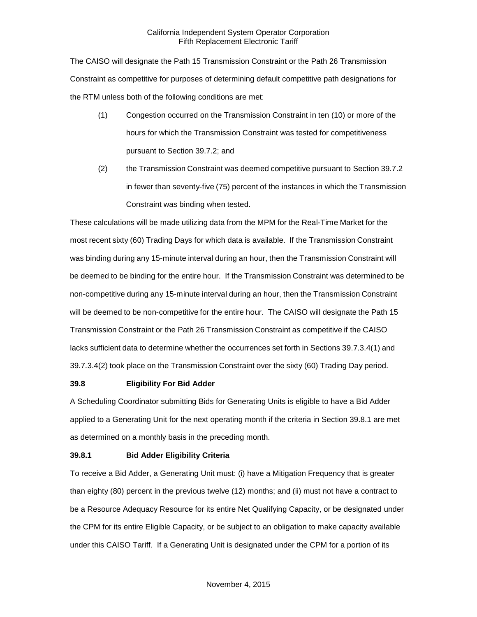The CAISO will designate the Path 15 Transmission Constraint or the Path 26 Transmission Constraint as competitive for purposes of determining default competitive path designations for the RTM unless both of the following conditions are met:

- (1) Congestion occurred on the Transmission Constraint in ten (10) or more of the hours for which the Transmission Constraint was tested for competitiveness pursuant to Section 39.7.2; and
- (2) the Transmission Constraint was deemed competitive pursuant to Section 39.7.2 in fewer than seventy-five (75) percent of the instances in which the Transmission Constraint was binding when tested.

These calculations will be made utilizing data from the MPM for the Real-Time Market for the most recent sixty (60) Trading Days for which data is available. If the Transmission Constraint was binding during any 15-minute interval during an hour, then the Transmission Constraint will be deemed to be binding for the entire hour. If the Transmission Constraint was determined to be non-competitive during any 15-minute interval during an hour, then the Transmission Constraint will be deemed to be non-competitive for the entire hour. The CAISO will designate the Path 15 Transmission Constraint or the Path 26 Transmission Constraint as competitive if the CAISO lacks sufficient data to determine whether the occurrences set forth in Sections 39.7.3.4(1) and 39.7.3.4(2) took place on the Transmission Constraint over the sixty (60) Trading Day period.

#### <span id="page-23-0"></span>**39.8 Eligibility For Bid Adder**

A Scheduling Coordinator submitting Bids for Generating Units is eligible to have a Bid Adder applied to a Generating Unit for the next operating month if the criteria in Section 39.8.1 are met as determined on a monthly basis in the preceding month.

#### <span id="page-23-1"></span>**39.8.1 Bid Adder Eligibility Criteria**

To receive a Bid Adder, a Generating Unit must: (i) have a Mitigation Frequency that is greater than eighty (80) percent in the previous twelve (12) months; and (ii) must not have a contract to be a Resource Adequacy Resource for its entire Net Qualifying Capacity, or be designated under the CPM for its entire Eligible Capacity, or be subject to an obligation to make capacity available under this CAISO Tariff. If a Generating Unit is designated under the CPM for a portion of its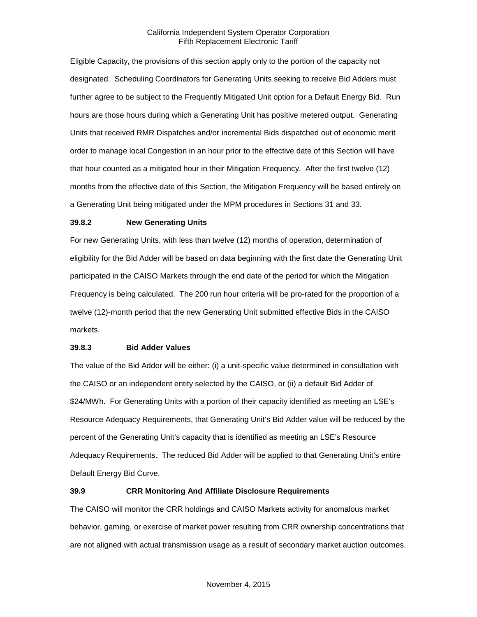Eligible Capacity, the provisions of this section apply only to the portion of the capacity not designated. Scheduling Coordinators for Generating Units seeking to receive Bid Adders must further agree to be subject to the Frequently Mitigated Unit option for a Default Energy Bid. Run hours are those hours during which a Generating Unit has positive metered output. Generating Units that received RMR Dispatches and/or incremental Bids dispatched out of economic merit order to manage local Congestion in an hour prior to the effective date of this Section will have that hour counted as a mitigated hour in their Mitigation Frequency. After the first twelve (12) months from the effective date of this Section, the Mitigation Frequency will be based entirely on a Generating Unit being mitigated under the MPM procedures in Sections 31 and 33.

#### <span id="page-24-0"></span>**39.8.2 New Generating Units**

For new Generating Units, with less than twelve (12) months of operation, determination of eligibility for the Bid Adder will be based on data beginning with the first date the Generating Unit participated in the CAISO Markets through the end date of the period for which the Mitigation Frequency is being calculated. The 200 run hour criteria will be pro-rated for the proportion of a twelve (12)-month period that the new Generating Unit submitted effective Bids in the CAISO markets.

#### <span id="page-24-1"></span>**39.8.3 Bid Adder Values**

The value of the Bid Adder will be either: (i) a unit-specific value determined in consultation with the CAISO or an independent entity selected by the CAISO, or (ii) a default Bid Adder of \$24/MWh. For Generating Units with a portion of their capacity identified as meeting an LSE's Resource Adequacy Requirements, that Generating Unit's Bid Adder value will be reduced by the percent of the Generating Unit's capacity that is identified as meeting an LSE's Resource Adequacy Requirements. The reduced Bid Adder will be applied to that Generating Unit's entire Default Energy Bid Curve.

#### <span id="page-24-2"></span>**39.9 CRR Monitoring And Affiliate Disclosure Requirements**

The CAISO will monitor the CRR holdings and CAISO Markets activity for anomalous market behavior, gaming, or exercise of market power resulting from CRR ownership concentrations that are not aligned with actual transmission usage as a result of secondary market auction outcomes.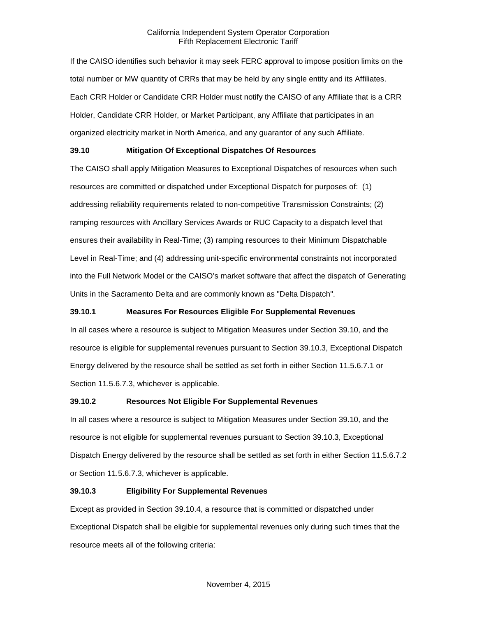If the CAISO identifies such behavior it may seek FERC approval to impose position limits on the total number or MW quantity of CRRs that may be held by any single entity and its Affiliates. Each CRR Holder or Candidate CRR Holder must notify the CAISO of any Affiliate that is a CRR Holder, Candidate CRR Holder, or Market Participant, any Affiliate that participates in an organized electricity market in North America, and any guarantor of any such Affiliate.

# <span id="page-25-0"></span>**39.10 Mitigation Of Exceptional Dispatches Of Resources**

The CAISO shall apply Mitigation Measures to Exceptional Dispatches of resources when such resources are committed or dispatched under Exceptional Dispatch for purposes of: (1) addressing reliability requirements related to non-competitive Transmission Constraints; (2) ramping resources with Ancillary Services Awards or RUC Capacity to a dispatch level that ensures their availability in Real-Time; (3) ramping resources to their Minimum Dispatchable Level in Real-Time; and (4) addressing unit-specific environmental constraints not incorporated into the Full Network Model or the CAISO's market software that affect the dispatch of Generating Units in the Sacramento Delta and are commonly known as "Delta Dispatch".

# <span id="page-25-1"></span>**39.10.1 Measures For Resources Eligible For Supplemental Revenues**

In all cases where a resource is subject to Mitigation Measures under Section 39.10, and the resource is eligible for supplemental revenues pursuant to Section 39.10.3, Exceptional Dispatch Energy delivered by the resource shall be settled as set forth in either Section 11.5.6.7.1 or Section 11.5.6.7.3, whichever is applicable.

#### <span id="page-25-2"></span>**39.10.2 Resources Not Eligible For Supplemental Revenues**

In all cases where a resource is subject to Mitigation Measures under Section 39.10, and the resource is not eligible for supplemental revenues pursuant to Section 39.10.3, Exceptional Dispatch Energy delivered by the resource shall be settled as set forth in either Section 11.5.6.7.2 or Section 11.5.6.7.3, whichever is applicable.

# <span id="page-25-3"></span>**39.10.3 Eligibility For Supplemental Revenues**

Except as provided in Section 39.10.4, a resource that is committed or dispatched under Exceptional Dispatch shall be eligible for supplemental revenues only during such times that the resource meets all of the following criteria: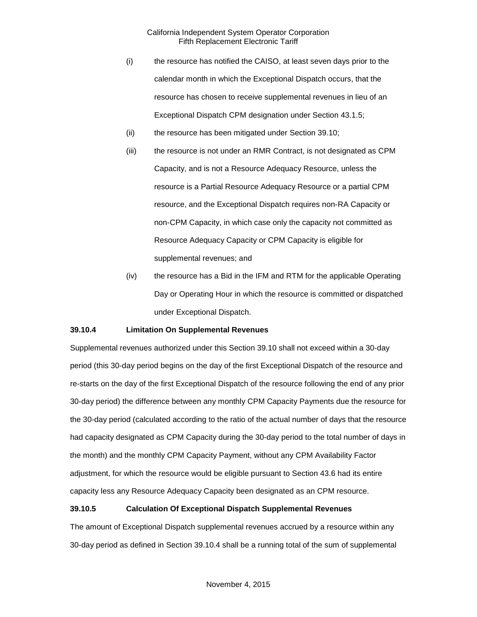- (i) the resource has notified the CAISO, at least seven days prior to the calendar month in which the Exceptional Dispatch occurs, that the resource has chosen to receive supplemental revenues in lieu of an Exceptional Dispatch CPM designation under Section 43.1.5;
- (ii) the resource has been mitigated under Section 39.10;
- (iii) the resource is not under an RMR Contract, is not designated as CPM Capacity, and is not a Resource Adequacy Resource, unless the resource is a Partial Resource Adequacy Resource or a partial CPM resource, and the Exceptional Dispatch requires non-RA Capacity or non-CPM Capacity, in which case only the capacity not committed as Resource Adequacy Capacity or CPM Capacity is eligible for supplemental revenues; and
- (iv) the resource has a Bid in the IFM and RTM for the applicable Operating Day or Operating Hour in which the resource is committed or dispatched under Exceptional Dispatch.

#### <span id="page-26-0"></span>**39.10.4 Limitation On Supplemental Revenues**

Supplemental revenues authorized under this Section 39.10 shall not exceed within a 30-day period (this 30-day period begins on the day of the first Exceptional Dispatch of the resource and re-starts on the day of the first Exceptional Dispatch of the resource following the end of any prior 30-day period) the difference between any monthly CPM Capacity Payments due the resource for the 30-day period (calculated according to the ratio of the actual number of days that the resource had capacity designated as CPM Capacity during the 30-day period to the total number of days in the month) and the monthly CPM Capacity Payment, without any CPM Availability Factor adjustment, for which the resource would be eligible pursuant to Section 43.6 had its entire capacity less any Resource Adequacy Capacity been designated as an CPM resource.

#### <span id="page-26-1"></span>**39.10.5 Calculation Of Exceptional Dispatch Supplemental Revenues**

The amount of Exceptional Dispatch supplemental revenues accrued by a resource within any 30-day period as defined in Section 39.10.4 shall be a running total of the sum of supplemental